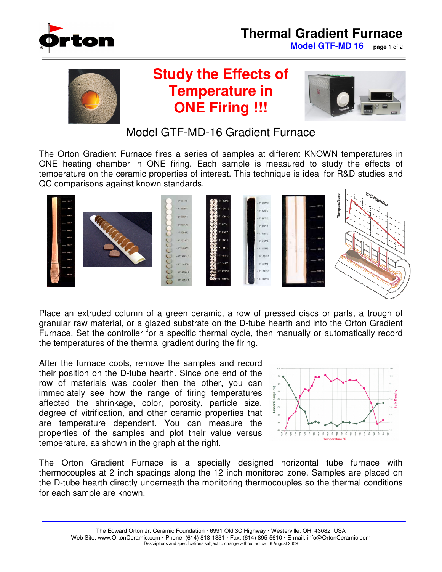

## **Thermal Gradient Furnace**

**Model GTF-MD 16 page** 1 of 2



## **Study the Effects of Temperature in ONE Firing !!!**



Model GTF-MD-16 Gradient Furnace

The Orton Gradient Furnace fires a series of samples at different KNOWN temperatures in ONE heating chamber in ONE firing. Each sample is measured to study the effects of temperature on the ceramic properties of interest. This technique is ideal for R&D studies and QC comparisons against known standards.



Place an extruded column of a green ceramic, a row of pressed discs or parts, a trough of granular raw material, or a glazed substrate on the D-tube hearth and into the Orton Gradient Furnace. Set the controller for a specific thermal cycle, then manually or automatically record the temperatures of the thermal gradient during the firing.

After the furnace cools, remove the samples and record their position on the D-tube hearth. Since one end of the row of materials was cooler then the other, you can immediately see how the range of firing temperatures affected the shrinkage, color, porosity, particle size, degree of vitrification, and other ceramic properties that are temperature dependent. You can measure the properties of the samples and plot their value versus temperature, as shown in the graph at the right.



The Orton Gradient Furnace is a specially designed horizontal tube furnace with thermocouples at 2 inch spacings along the 12 inch monitored zone. Samples are placed on the D-tube hearth directly underneath the monitoring thermocouples so the thermal conditions for each sample are known.